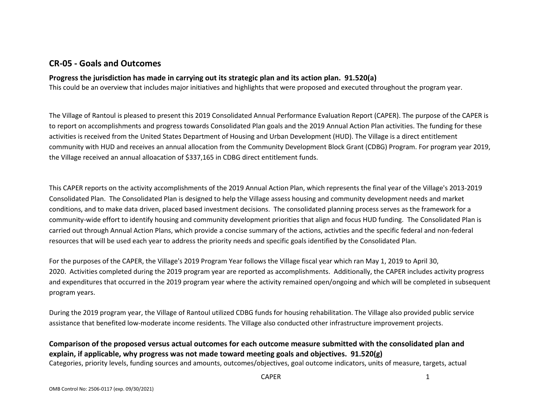## **CR-05 - Goals and Outcomes**

### **Progress the jurisdiction has made in carrying out its strategic plan and its action plan. 91.520(a)**

This could be an overview that includes major initiatives and highlights that were proposed and executed throughout the program year.

The Village of Rantoul is pleased to present this 2019 Consolidated Annual Performance Evaluation Report (CAPER). The purpose of the CAPER is to report on accomplishments and progress towards Consolidated Plan goals and the 2019 Annual Action Plan activities. The funding for these activities is received from the United States Department of Housing and Urban Development (HUD). The Village is a direct entitlement community with HUD and receives an annual allocation from the Community Development Block Grant (CDBG) Program. For program year 2019, the Village received an annual alloacation of \$337,165 in CDBG direct entitlement funds.

This CAPER reports on the activity accomplishments of the 2019 Annual Action Plan, which represents the final year of the Village's 2013-2019 Consolidated Plan. The Consolidated Plan is designed to help the Village assess housing and community development needs and market conditions, and to make data driven, placed based investment decisions. The consolidated planning process serves as the framework for a community-wide effort to identify housing and community development priorities that align and focus HUD funding. The Consolidated Plan is carried out through Annual Action Plans, which provide a concise summary of the actions, activties and the specific federal and non-federal resources that will be used each year to address the priority needs and specific goals identified by the Consolidated Plan.

For the purposes of the CAPER, the Village's 2019 Program Year follows the Village fiscal year which ran May 1, 2019 to April 30, 2020. Activities completed during the 2019 program year are reported as accomplishments. Additionally, the CAPER includes activity progress and expenditures that occurred in the 2019 program year where the activity remained open/ongoing and which will be completed in subsequent program years.

During the 2019 program year, the Village of Rantoul utilized CDBG funds for housing rehabilitation. The Village also provided public service assistance that benefited low-moderate income residents. The Village also conducted other infrastructure improvement projects.

## **Comparison of the proposed versus actual outcomes for each outcome measure submitted with the consolidated plan and explain, if applicable, why progress was not made toward meeting goals and objectives. 91.520(g)**

Categories, priority levels, funding sources and amounts, outcomes/objectives, goal outcome indicators, units of measure, targets, actual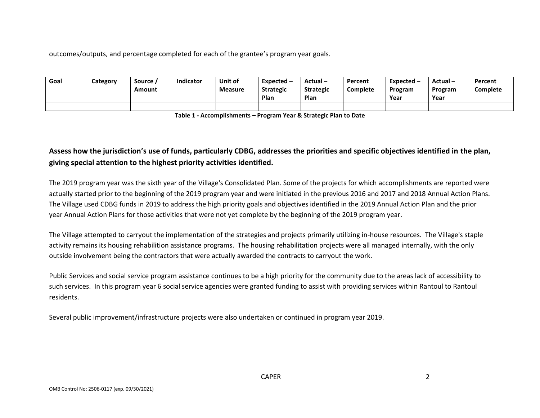outcomes/outputs, and percentage completed for each of the grantee's program year goals.

| Goal | Category | Source<br>Amount | Indicator | Unit of<br><b>Measure</b> | Expected $-$<br><b>Strategic</b> | Actual-<br><b>Strategic</b> | Percent<br><b>Complete</b> | Expected –<br>Program | Actual-<br>Program | Percent<br>Complete |
|------|----------|------------------|-----------|---------------------------|----------------------------------|-----------------------------|----------------------------|-----------------------|--------------------|---------------------|
|      |          |                  |           |                           | Plan                             | Plan                        |                            | Year                  | Year               |                     |
|      |          |                  |           |                           |                                  |                             |                            |                       |                    |                     |

**Table 1 - Accomplishments – Program Year & Strategic Plan to Date**

# **Assess how the jurisdiction's use of funds, particularly CDBG, addresses the priorities and specific objectives identified in the plan, giving special attention to the highest priority activities identified.**

The 2019 program year was the sixth year of the Village's Consolidated Plan. Some of the projects for which accomplishments are reported were actually started prior to the beginning of the 2019 program year and were initiated in the previous 2016 and 2017 and 2018 Annual Action Plans. The Village used CDBG funds in 2019 to address the high priority goals and objectives identified in the 2019 Annual Action Plan and the prior year Annual Action Plans for those activities that were not yet complete by the beginning of the 2019 program year.

The Village attempted to carryout the implementation of the strategies and projects primarily utilizing in-house resources. The Village's staple activity remains its housing rehabilition assistance programs. The housing rehabilitation projects were all managed internally, with the only outside involvement being the contractors that were actually awarded the contracts to carryout the work.

Public Services and social service program assistance continues to be a high priority for the community due to the areas lack of accessibility to such services. In this program year 6 social service agencies were granted funding to assist with providing services within Rantoul to Rantoul residents.

Several public improvement/infrastructure projects were also undertaken or continued in program year 2019.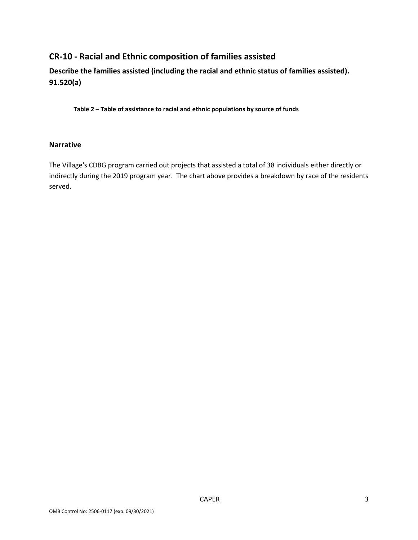# **CR-10 - Racial and Ethnic composition of families assisted**

**Describe the families assisted (including the racial and ethnic status of families assisted). 91.520(a)** 

**Table 2 – Table of assistance to racial and ethnic populations by source of funds**

#### **Narrative**

The Village's CDBG program carried out projects that assisted a total of 38 individuals either directly or indirectly during the 2019 program year. The chart above provides a breakdown by race of the residents served.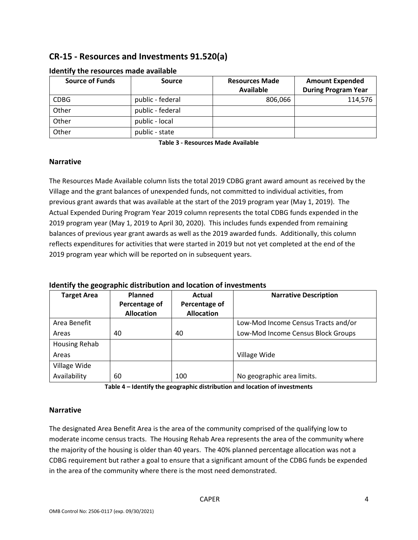# **CR-15 - Resources and Investments 91.520(a)**

| <b>Source of Funds</b> | <b>Source</b>    | <b>Resources Made</b> | <b>Amount Expended</b>     |  |
|------------------------|------------------|-----------------------|----------------------------|--|
|                        |                  | <b>Available</b>      | <b>During Program Year</b> |  |
| <b>CDBG</b>            | public - federal | 806,066               | 114,576                    |  |
| Other                  | public - federal |                       |                            |  |
| Other                  | public - local   |                       |                            |  |
| Other                  | public - state   |                       |                            |  |

#### **Identify the resources made available**

**Table 3 - Resources Made Available**

#### **Narrative**

The Resources Made Available column lists the total 2019 CDBG grant award amount as received by the Village and the grant balances of unexpended funds, not committed to individual activities, from previous grant awards that was available at the start of the 2019 program year (May 1, 2019). The Actual Expended During Program Year 2019 column represents the total CDBG funds expended in the 2019 program year (May 1, 2019 to April 30, 2020). This includes funds expended from remaining balances of previous year grant awards as well as the 2019 awarded funds. Additionally, this column reflects expenditures for activities that were started in 2019 but not yet completed at the end of the 2019 program year which will be reported on in subsequent years.

#### **Identify the geographic distribution and location of investments**

| <b>Target Area</b> | Planned           | Actual            | <b>Narrative Description</b>        |
|--------------------|-------------------|-------------------|-------------------------------------|
|                    | Percentage of     | Percentage of     |                                     |
|                    | <b>Allocation</b> | <b>Allocation</b> |                                     |
| Area Benefit       |                   |                   | Low-Mod Income Census Tracts and/or |
| Areas              | 40                | 40                | Low-Mod Income Census Block Groups  |
| Housing Rehab      |                   |                   |                                     |
| Areas              |                   |                   | Village Wide                        |
| Village Wide       |                   |                   |                                     |
| Availability       | 60                | 100               | No geographic area limits.          |

**Table 4 – Identify the geographic distribution and location of investments**

#### **Narrative**

The designated Area Benefit Area is the area of the community comprised of the qualifying low to moderate income census tracts. The Housing Rehab Area represents the area of the community where the majority of the housing is older than 40 years. The 40% planned percentage allocation was not a CDBG requirement but rather a goal to ensure that a significant amount of the CDBG funds be expended in the area of the community where there is the most need demonstrated.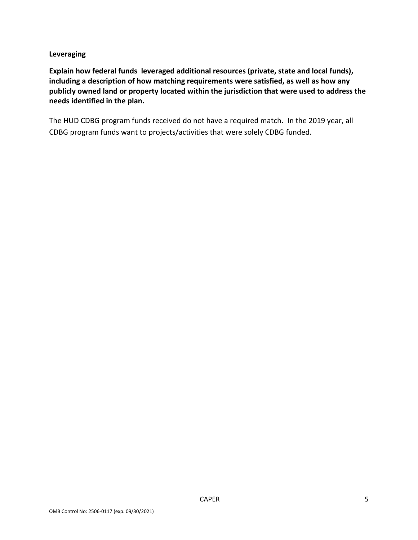#### **Leveraging**

**Explain how federal funds leveraged additional resources (private, state and local funds), including a description of how matching requirements were satisfied, as well as how any publicly owned land or property located within the jurisdiction that were used to address the needs identified in the plan.**

The HUD CDBG program funds received do not have a required match. In the 2019 year, all CDBG program funds want to projects/activities that were solely CDBG funded.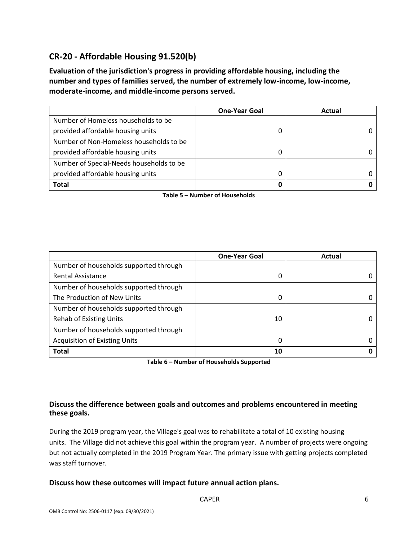# **CR-20 - Affordable Housing 91.520(b)**

**Evaluation of the jurisdiction's progress in providing affordable housing, including the number and types of families served, the number of extremely low-income, low-income, moderate-income, and middle-income persons served.**

|                                          | <b>One-Year Goal</b> | Actual |
|------------------------------------------|----------------------|--------|
| Number of Homeless households to be      |                      |        |
| provided affordable housing units        |                      |        |
| Number of Non-Homeless households to be  |                      |        |
| provided affordable housing units        | 0                    |        |
| Number of Special-Needs households to be |                      |        |
| provided affordable housing units        |                      |        |
| <b>Total</b>                             | 0                    |        |

**Table 5 – Number of Households**

|                                        | <b>One-Year Goal</b> | Actual |
|----------------------------------------|----------------------|--------|
| Number of households supported through |                      |        |
| <b>Rental Assistance</b>               | 0                    |        |
| Number of households supported through |                      |        |
| The Production of New Units            | 0                    |        |
| Number of households supported through |                      |        |
| <b>Rehab of Existing Units</b>         | 10                   |        |
| Number of households supported through |                      |        |
| <b>Acquisition of Existing Units</b>   | 0                    |        |
| <b>Total</b>                           | 10                   |        |

**Table 6 – Number of Households Supported**

### **Discuss the difference between goals and outcomes and problems encountered in meeting these goals.**

During the 2019 program year, the Village's goal was to rehabilitate a total of 10 existing housing units. The Village did not achieve this goal within the program year. A number of projects were ongoing but not actually completed in the 2019 Program Year. The primary issue with getting projects completed was staff turnover.

#### **Discuss how these outcomes will impact future annual action plans.**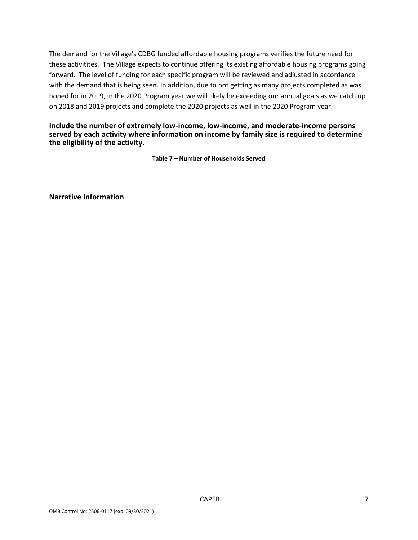The demand for the Village's CDBG funded affordable housing programs verifies the future need for these activitites. The Village expects to continue offering its existing affordable housing programs going forward. The level of funding for each specific program will be reviewed and adjusted in accordance with the demand that is being seen. In addition, due to not getting as many projects completed as was hoped for in 2019, in the 2020 Program year we will likely be exceeding our annual goals as we catch up on 2018 and 2019 projects and complete the 2020 projects as well in the 2020 Program year.

#### **Include the number of extremely low-income, low-income, and moderate-income persons served by each activity where information on income by family size is required to determine the eligibility of the activity.**

**Table 7 – Number of Households Served**

**Narrative Information**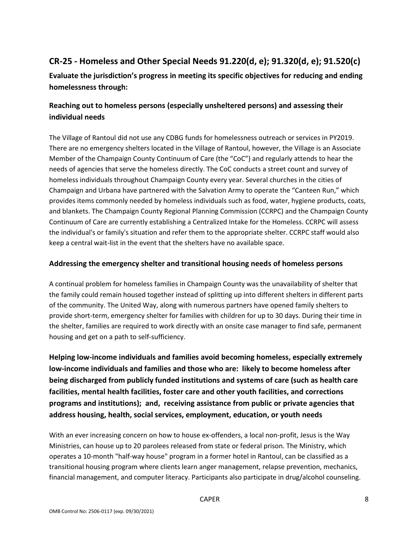# **CR-25 - Homeless and Other Special Needs 91.220(d, e); 91.320(d, e); 91.520(c)**

**Evaluate the jurisdiction's progress in meeting its specific objectives for reducing and ending homelessness through:**

## **Reaching out to homeless persons (especially unsheltered persons) and assessing their individual needs**

The Village of Rantoul did not use any CDBG funds for homelessness outreach or services in PY2019. There are no emergency shelters located in the Village of Rantoul, however, the Village is an Associate Member of the Champaign County Continuum of Care (the "CoC") and regularly attends to hear the needs of agencies that serve the homeless directly. The CoC conducts a street count and survey of homeless individuals throughout Champaign County every year. Several churches in the cities of Champaign and Urbana have partnered with the Salvation Army to operate the "Canteen Run," which provides items commonly needed by homeless individuals such as food, water, hygiene products, coats, and blankets. The Champaign County Regional Planning Commission (CCRPC) and the Champaign County Continuum of Care are currently establishing a Centralized Intake for the Homeless. CCRPC will assess the individual's or family's situation and refer them to the appropriate shelter. CCRPC staff would also keep a central wait-list in the event that the shelters have no available space.

### **Addressing the emergency shelter and transitional housing needs of homeless persons**

A continual problem for homeless families in Champaign County was the unavailability of shelter that the family could remain housed together instead of splitting up into different shelters in different parts of the community. The United Way, along with numerous partners have opened family shelters to provide short-term, emergency shelter for families with children for up to 30 days. During their time in the shelter, families are required to work directly with an onsite case manager to find safe, permanent housing and get on a path to self-sufficiency.

**Helping low-income individuals and families avoid becoming homeless, especially extremely low-income individuals and families and those who are: likely to become homeless after being discharged from publicly funded institutions and systems of care (such as health care facilities, mental health facilities, foster care and other youth facilities, and corrections programs and institutions); and, receiving assistance from public or private agencies that address housing, health, social services, employment, education, or youth needs**

With an ever increasing concern on how to house ex-offenders, a local non-profit, Jesus is the Way Ministries, can house up to 20 parolees released from state or federal prison. The Ministry, which operates a 10-month "half-way house" program in a former hotel in Rantoul, can be classified as a transitional housing program where clients learn anger management, relapse prevention, mechanics, financial management, and computer literacy. Participants also participate in drug/alcohol counseling.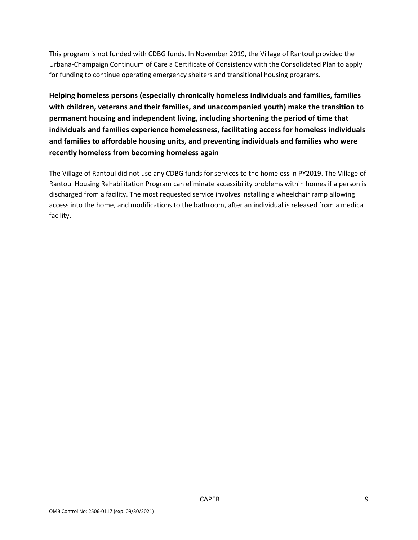This program is not funded with CDBG funds. In November 2019, the Village of Rantoul provided the Urbana-Champaign Continuum of Care a Certificate of Consistency with the Consolidated Plan to apply for funding to continue operating emergency shelters and transitional housing programs.

**Helping homeless persons (especially chronically homeless individuals and families, families with children, veterans and their families, and unaccompanied youth) make the transition to permanent housing and independent living, including shortening the period of time that individuals and families experience homelessness, facilitating access for homeless individuals and families to affordable housing units, and preventing individuals and families who were recently homeless from becoming homeless again**

The Village of Rantoul did not use any CDBG funds for services to the homeless in PY2019. The Village of Rantoul Housing Rehabilitation Program can eliminate accessibility problems within homes if a person is discharged from a facility. The most requested service involves installing a wheelchair ramp allowing access into the home, and modifications to the bathroom, after an individual is released from a medical facility.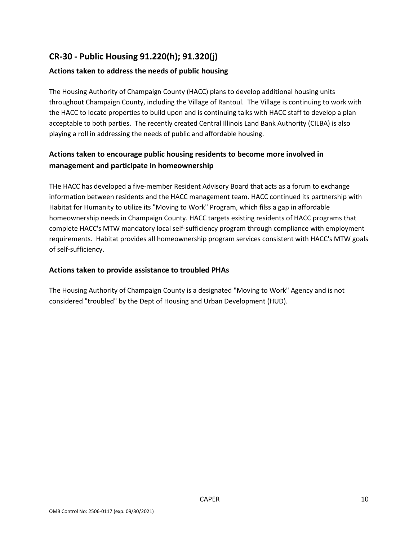# **CR-30 - Public Housing 91.220(h); 91.320(j)**

### **Actions taken to address the needs of public housing**

The Housing Authority of Champaign County (HACC) plans to develop additional housing units throughout Champaign County, including the Village of Rantoul. The Village is continuing to work with the HACC to locate properties to build upon and is continuing talks with HACC staff to develop a plan acceptable to both parties. The recently created Central Illinois Land Bank Authority (CILBA) is also playing a roll in addressing the needs of public and affordable housing.

## **Actions taken to encourage public housing residents to become more involved in management and participate in homeownership**

THe HACC has developed a five-member Resident Advisory Board that acts as a forum to exchange information between residents and the HACC management team. HACC continued its partnership with Habitat for Humanity to utilize its "Moving to Work" Program, which filss a gap in affordable homeownership needs in Champaign County. HACC targets existing residents of HACC programs that complete HACC's MTW mandatory local self-sufficiency program through compliance with employment requirements. Habitat provides all homeownership program services consistent with HACC's MTW goals of self-sufficiency.

### **Actions taken to provide assistance to troubled PHAs**

The Housing Authority of Champaign County is a designated "Moving to Work" Agency and is not considered "troubled" by the Dept of Housing and Urban Development (HUD).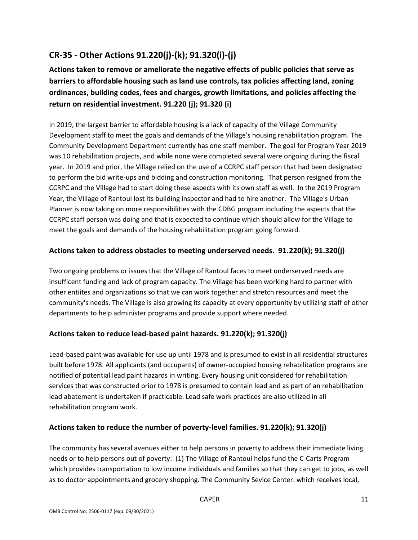# **CR-35 - Other Actions 91.220(j)-(k); 91.320(i)-(j)**

**Actions taken to remove or ameliorate the negative effects of public policies that serve as barriers to affordable housing such as land use controls, tax policies affecting land, zoning ordinances, building codes, fees and charges, growth limitations, and policies affecting the return on residential investment. 91.220 (j); 91.320 (i)**

In 2019, the largest barrier to affordable housing is a lack of capacity of the Village Community Development staff to meet the goals and demands of the Village's housing rehabilitation program. The Community Development Department currently has one staff member. The goal for Program Year 2019 was 10 rehabilitation projects, and while none were completed several were ongoing during the fiscal year. In 2019 and prior, the Village relied on the use of a CCRPC staff person that had been designated to perform the bid write-ups and bidding and construction monitoring. That person resigned from the CCRPC and the Village had to start doing these aspects with its own staff as well. In the 2019 Program Year, the Village of Rantoul lost its building inspector and had to hire another. The Village's Urban Planner is now taking on more responsibilities with the CDBG program including the aspects that the CCRPC staff person was doing and that is expected to continue which should allow for the Village to meet the goals and demands of the housing rehabilitation program going forward.

### **Actions taken to address obstacles to meeting underserved needs. 91.220(k); 91.320(j)**

Two ongoing problems or issues that the Village of Rantoul faces to meet underserved needs are insufficent funding and lack of program capacity. The Village has been working hard to partner with other entiites and organizations so that we can work together and stretch resources and meet the community's needs. The Village is also growing its capacity at every opportunity by utilizing staff of other departments to help administer programs and provide support where needed.

### **Actions taken to reduce lead-based paint hazards. 91.220(k); 91.320(j)**

Lead-based paint was available for use up until 1978 and is presumed to exist in all residential structures built before 1978. All applicants (and occupants) of owner-occupied housing rehabilitation programs are notified of potential lead paint hazards in writing. Every housing unit considered for rehabilitation services that was constructed prior to 1978 is presumed to contain lead and as part of an rehabilitation lead abatement is undertaken if practicable. Lead safe work practices are also utilized in all rehabilitation program work.

#### **Actions taken to reduce the number of poverty-level families. 91.220(k); 91.320(j)**

The community has several avenues either to help persons in poverty to address their immediate living needs or to help persons out of poverty: (1) The Village of Rantoul helps fund the C-Carts Program which provides transportation to low income individuals and families so that they can get to jobs, as well as to doctor appointments and grocery shopping. The Community Sevice Center. which receives local,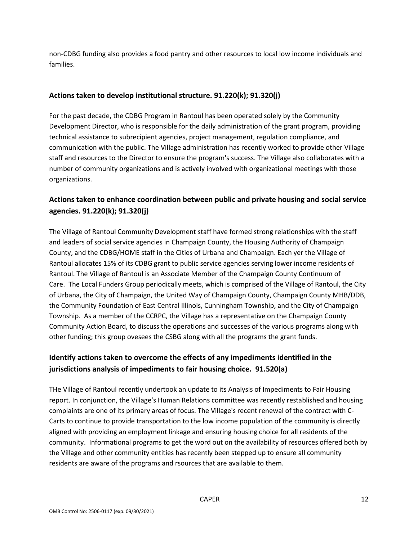non-CDBG funding also provides a food pantry and other resources to local low income individuals and families.

### **Actions taken to develop institutional structure. 91.220(k); 91.320(j)**

For the past decade, the CDBG Program in Rantoul has been operated solely by the Community Development Director, who is responsible for the daily administration of the grant program, providing technical assistance to subrecipient agencies, project management, regulation compliance, and communication with the public. The Village administration has recently worked to provide other Village staff and resources to the Director to ensure the program's success. The Village also collaborates with a number of community organizations and is actively involved with organizational meetings with those organizations.

## **Actions taken to enhance coordination between public and private housing and social service agencies. 91.220(k); 91.320(j)**

The Village of Rantoul Community Development staff have formed strong relationships with the staff and leaders of social service agencies in Champaign County, the Housing Authority of Champaign County, and the CDBG/HOME staff in the Cities of Urbana and Champaign. Each yer the Village of Rantoul allocates 15% of its CDBG grant to public service agencies serving lower income residents of Rantoul. The Village of Rantoul is an Associate Member of the Champaign County Continuum of Care. The Local Funders Group periodically meets, which is comprised of the Village of Rantoul, the City of Urbana, the City of Champaign, the United Way of Champaign County, Champaign County MHB/DDB, the Community Foundation of East Central Illinois, Cunningham Township, and the City of Champaign Township. As a member of the CCRPC, the Village has a representative on the Champaign County Community Action Board, to discuss the operations and successes of the various programs along with other funding; this group ovesees the CSBG along with all the programs the grant funds.

# **Identify actions taken to overcome the effects of any impediments identified in the jurisdictions analysis of impediments to fair housing choice. 91.520(a)**

THe Village of Rantoul recently undertook an update to its Analysis of Impediments to Fair Housing report. In conjunction, the Village's Human Relations committee was recently restablished and housing complaints are one of its primary areas of focus. The Village's recent renewal of the contract with C-Carts to continue to provide transportation to the low income population of the community is directly aligned with providing an employment linkage and ensuring housing choice for all residents of the community. Informational programs to get the word out on the availability of resources offered both by the Village and other community entities has recently been stepped up to ensure all community residents are aware of the programs and rsources that are available to them.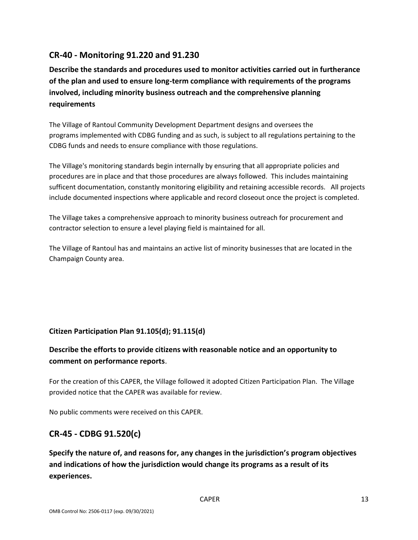## **CR-40 - Monitoring 91.220 and 91.230**

**Describe the standards and procedures used to monitor activities carried out in furtherance of the plan and used to ensure long-term compliance with requirements of the programs involved, including minority business outreach and the comprehensive planning requirements**

The Village of Rantoul Community Development Department designs and oversees the programs implemented with CDBG funding and as such, is subject to all regulations pertaining to the CDBG funds and needs to ensure compliance with those regulations.

The Village's monitoring standards begin internally by ensuring that all appropriate policies and procedures are in place and that those procedures are always followed. This includes maintaining sufficent documentation, constantly monitoring eligibility and retaining accessible records. All projects include documented inspections where applicable and record closeout once the project is completed.

The Village takes a comprehensive approach to minority business outreach for procurement and contractor selection to ensure a level playing field is maintained for all.

The Village of Rantoul has and maintains an active list of minority businesses that are located in the Champaign County area.

### **Citizen Participation Plan 91.105(d); 91.115(d)**

## **Describe the efforts to provide citizens with reasonable notice and an opportunity to comment on performance reports**.

For the creation of this CAPER, the Village followed it adopted Citizen Participation Plan. The Village provided notice that the CAPER was available for review.

No public comments were received on this CAPER.

## **CR-45 - CDBG 91.520(c)**

**Specify the nature of, and reasons for, any changes in the jurisdiction's program objectives and indications of how the jurisdiction would change its programs as a result of its experiences.**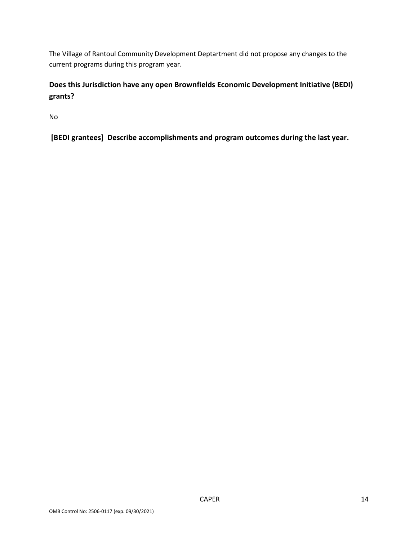The Village of Rantoul Community Development Deptartment did not propose any changes to the current programs during this program year.

# **Does this Jurisdiction have any open Brownfields Economic Development Initiative (BEDI) grants?**

No

**[BEDI grantees] Describe accomplishments and program outcomes during the last year.**